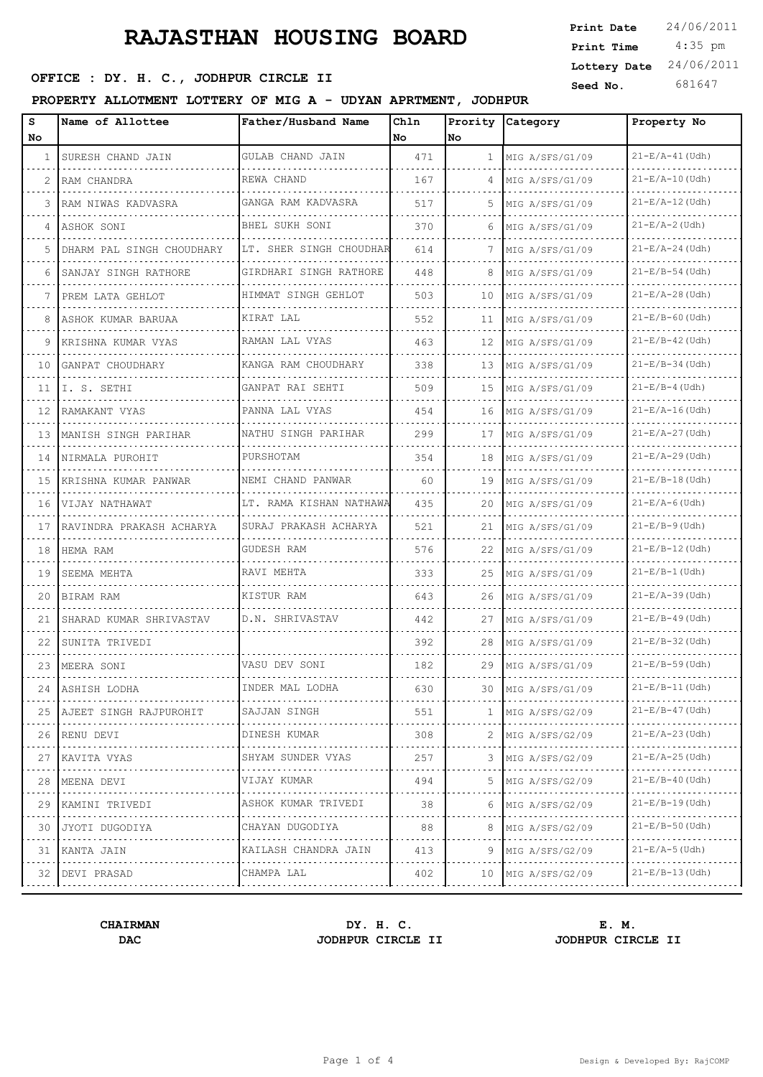# **RAJASTHAN HOUSING BOARD**

# **SEPTCE : DY. H. C., JODHPUR CIRCLE II** Seed No. 681

### **PROPERTY ALLOTMENT LOTTERY OF MIG A - UDYAN APRTMENT, JODHPUR**

| <b>Print Date</b> | 24/06/2011 |
|-------------------|------------|
| Print Time        | $4:35$ pm  |
| Lottery Date      | 24/06/2011 |
| Seed No           | 681647     |

| s<br>No      | Name of Allottee            | Father/Husband Name          | Chln<br>l No | Prority<br><b>No</b> | Category             | Property No                |
|--------------|-----------------------------|------------------------------|--------------|----------------------|----------------------|----------------------------|
| $\mathbf{1}$ | SURESH CHAND JAIN           | GULAB CHAND JAIN             | 471          | $\mathbf{1}$         | MIG A/SFS/G1/09      | $21-E/A-41$ (Udh)          |
| 2            | RAM CHANDRA                 | REWA CHAND                   | 167          | 4                    | MIG A/SFS/G1/09      | $21 - E/A - 10$ (Udh)      |
| 3            | RAM NIWAS KADVASRA          | GANGA RAM KADVASRA           | 517          | 5.                   | MIG A/SFS/G1/09      | $21 - E/A - 12$ (Udh)      |
| 4            | ASHOK SONI                  | BHEL SUKH SONI               | 370          | 6                    | MIG A/SFS/G1/09      | $21 - E/A - 2$ (Udh)       |
| 5            | DHARM PAL SINGH CHOUDHARY   | LT. SHER SINGH CHOUDHAR      | 614          | 7                    | MIG A/SFS/G1/09      | $21-E/A-24$ (Udh)          |
| 6            | SANJAY SINGH RATHORE        | GIRDHARI SINGH RATHORE       | 448          | 8                    | MIG A/SFS/G1/09<br>. | $21 - E/B - 54$ (Udh)      |
| 7            | PREM LATA GEHLOT            | HIMMAT SINGH GEHLOT          | 503          | 10                   | MIG A/SFS/G1/09      | .<br>$21 - E/A - 28$ (Udh) |
| 8            | ASHOK KUMAR BARUAA          | KIRAT LAL                    | 552          | 11                   | MIG A/SFS/G1/09<br>. | $21-E/B-60$ (Udh)          |
| 9            | KRISHNA KUMAR VYAS          | RAMAN LAL VYAS               | 463          | 12                   | MIG A/SFS/G1/09      | .<br>$21-E/B-42$ (Udh)     |
| 10           | GANPAT CHOUDHARY            | KANGA RAM CHOUDHARY          | 338          | 13                   | MIG A/SFS/G1/09      | $21 - E/B - 34$ (Udh)      |
| 11           | I. S. SETHI                 | GANPAT RAI SEHTI             | 509          | 15                   | MIG A/SFS/G1/09      | $21-E/B-4$ (Udh)           |
| 12           | RAMAKANT VYAS               | PANNA LAL VYAS<br>.          | 454          | 16                   | MIG A/SFS/G1/09<br>. | $21 - E/A - 16$ (Udh)<br>. |
| 13           | MANISH SINGH PARIHAR        | NATHU SINGH PARIHAR          | 299          | 17                   | MIG A/SFS/G1/09      | $21-E/A-27$ (Udh)          |
| 14           | NIRMALA PUROHIT<br>.        | PURSHOTAM                    | 354          | 18                   | MIG A/SFS/G1/09<br>. | $21 - E/A - 29$ (Udh)<br>. |
| 15           | KRISHNA KUMAR PANWAR        | NEMI CHAND PANWAR            | 60           | 19                   | MIG A/SFS/G1/09      | $21 - E/B - 18$ (Udh)      |
| 16           | VIJAY NATHAWAT<br>.         | LT. RAMA KISHAN NATHAWA<br>. | 435          | 20                   | MIG A/SFS/G1/09<br>. | $21 - E/A - 6$ (Udh)       |
| 17           | RAVINDRA PRAKASH ACHARYA    | SURAJ PRAKASH ACHARYA        | 521          | 21                   | MIG A/SFS/G1/09      | $21 - E/B - 9$ (Udh)       |
| 18           | HEMA RAM                    | <b>GUDESH RAM</b>            | 576          | 22                   | MIG A/SFS/G1/09      | $21-E/B-12$ (Udh)          |
| 19           | SEEMA MEHTA                 | RAVI MEHTA                   | 333          | 25                   | MIG A/SFS/G1/09      | $21 - E/B - 1$ (Udh)       |
| 20           | BIRAM RAM                   | KISTUR RAM                   | 643          | 26                   | MIG A/SFS/G1/09      | $21 - E/A - 39$ (Udh)      |
| 21           | SHARAD KUMAR SHRIVASTAV     | D.N. SHRIVASTAV              | 442          | 27                   | MIG A/SFS/G1/09      | $21-E/B-49$ (Udh)          |
| 22           | SUNITA TRIVEDI              |                              | 392          | 28                   | MIG A/SFS/G1/09      | $21 - E/B - 32$ (Udh)      |
| 23           | MEERA SONI                  | VASU DEV SONI                | 182          | 29                   | MIG A/SFS/G1/09      | $21 - E/B - 59$ (Udh)      |
|              | 24   ASHISH LODHA           | INDER MAL LODHA              | 630          | 30                   | MIG A/SFS/G1/09      | $21 - E/B - 11$ (Udh)      |
|              | 25   AJEET SINGH RAJPUROHIT | SAJJAN SINGH                 | 551          | $\mathbf{1}$         | MIG A/SFS/G2/09      | $21-E/B-47$ (Udh)          |
| 26           | RENU DEVI                   | DINESH KUMAR                 | 308          | 2                    | MIG A/SFS/G2/09      | $21-E/A-23$ (Udh)          |
| 27           | KAVITA VYAS<br>.            | SHYAM SUNDER VYAS            | 257          | 3                    | MIG A/SFS/G2/09      | $21 - E/A - 25$ (Udh)<br>. |
| 28           | MEENA DEVI                  | .<br>VIJAY KUMAR             | 494          | 5                    | MIG A/SFS/G2/09      | $21-E/B-40$ (Udh)          |
| 29           | KAMINI TRIVEDI              | ASHOK KUMAR TRIVEDI          | 38           | 6                    | MIG A/SFS/G2/09      | $21 - E/B - 19$ (Udh)      |
| 30           | .<br>JYOTI DUGODIYA         | .<br>CHAYAN DUGODIYA         | 88           | 8                    | MIG A/SFS/G2/09      | $21 - E/B - 50$ (Udh)      |
| 31           | KANTA JAIN                  | KAILASH CHANDRA JAIN         | 413          | 9                    | MIG A/SFS/G2/09      | $21 - E/A - 5$ (Udh)       |
|              | 32 DEVI PRASAD              | CHAMPA LAL                   | 402          | 10                   | MIG A/SFS/G2/09      | $21-E/B-13$ (Udh)          |
|              |                             |                              |              |                      |                      |                            |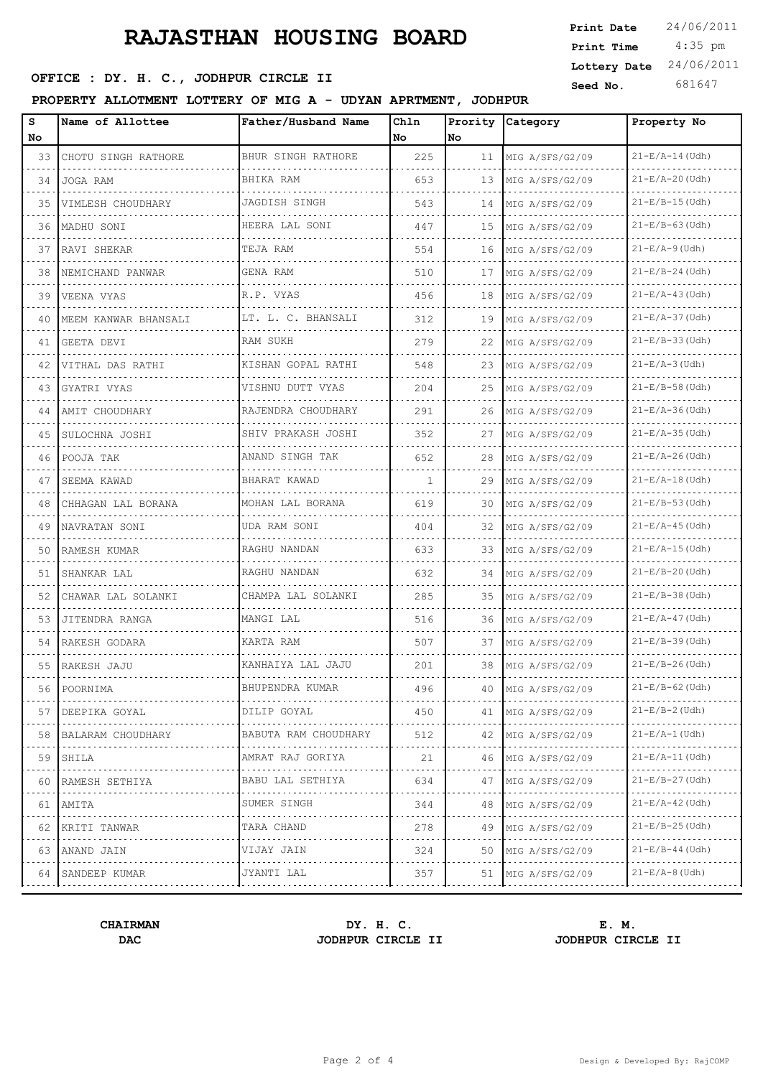# **RAJASTHAN HOUSING BOARD**

# **SEPTCE : DY. H. C., JODHPUR CIRCLE II** Seed No. 681

### **PROPERTY ALLOTMENT LOTTERY OF MIG A - UDYAN APRTMENT, JODHPUR**

| <b>Print Date</b> | 24/06/2011 |
|-------------------|------------|
| Print Time        | $4:35$ pm  |
| Lottery Date      | 24/06/2011 |
| Seed No           | 681647     |

| s<br>No.        | Name of Allottee                                                                                                                                                     | Father/Husband Name       | Chln<br>No | No  | Prority Category                                                                                                                          | Property No           |
|-----------------|----------------------------------------------------------------------------------------------------------------------------------------------------------------------|---------------------------|------------|-----|-------------------------------------------------------------------------------------------------------------------------------------------|-----------------------|
| 33              | CHOTU SINGH RATHORE                                                                                                                                                  | BHUR SINGH RATHORE        | 225        | 11  | MIG A/SFS/G2/09                                                                                                                           | $21-E/A-14$ (Udh)     |
| 34              | JOGA RAM                                                                                                                                                             | BHIKA RAM                 | 653        | 13  | MIG A/SFS/G2/09                                                                                                                           | $21-E/A-20$ (Udh)     |
| 35              | VIMLESH CHOUDHARY                                                                                                                                                    | JAGDISH SINGH             | 543        | 14  | MIG A/SFS/G2/09                                                                                                                           | $21-E/B-15$ (Udh)     |
| 36              | MADHU SONI                                                                                                                                                           | HEERA LAL SONI            | 447        | 15  | MIG A/SFS/G2/09                                                                                                                           | $21-E/B-63$ (Udh)     |
| 37              | RAVI SHEKAR                                                                                                                                                          | TEJA RAM                  | 554        | 16  | MIG A/SFS/G2/09                                                                                                                           | $21 - E/A - 9$ (Udh)  |
| 38              | NEMICHAND PANWAR                                                                                                                                                     | GENA RAM                  | 510        | 17  | MIG A/SFS/G2/09                                                                                                                           | $21-E/B-24$ (Udh)     |
| 39              | VEENA VYAS                                                                                                                                                           | R.P. VYAS                 | 456        | 18  | MIG A/SFS/G2/09                                                                                                                           | $21-E/A-43$ (Udh)     |
| 40              | MEEM KANWAR BHANSALI                                                                                                                                                 | LT. L. C. BHANSALI        | 312        | 19  | MIG A/SFS/G2/09                                                                                                                           | $21-E/A-37$ (Udh)     |
| 41              | GEETA DEVI                                                                                                                                                           | RAM SUKH                  | 279        | 22  | MIG A/SFS/G2/09                                                                                                                           | $21-E/B-33$ (Udh)     |
| 42              | .<br>VITHAL DAS RATHI                                                                                                                                                | KISHAN GOPAL RATHI        | 548        | 23  | MIG A/SFS/G2/09                                                                                                                           | $21 - E/A - 3$ (Udh)  |
| 43 I            | GYATRI VYAS                                                                                                                                                          | VISHNU DUTT VYAS          | 204        | 25  | MIG A/SFS/G2/09                                                                                                                           | $21 - E/B - 58$ (Udh) |
| 44              | AMIT CHOUDHARY                                                                                                                                                       | RAJENDRA CHOUDHARY        | 291        | 26  | MIG A/SFS/G2/09                                                                                                                           | $21 - E/A - 36$ (Udh) |
| 45              | SULOCHNA JOSHI                                                                                                                                                       | SHIV PRAKASH JOSHI        | 352        | 27  | MIG A/SFS/G2/09                                                                                                                           | $21 - E/A - 35$ (Udh) |
| 46              | POOJA TAK                                                                                                                                                            | ANAND SINGH TAK           | 652        | 28  | MIG A/SFS/G2/09                                                                                                                           | $21 - E/A - 26$ (Udh) |
| 47              | SEEMA KAWAD                                                                                                                                                          | .<br>BHARAT KAWAD         | 1          | 29  | MIG A/SFS/G2/09                                                                                                                           | $21-E/A-18$ (Udh)     |
| 48              | CHHAGAN LAL BORANA                                                                                                                                                   | MOHAN LAL BORANA          | 619        | 30  | MIG A/SFS/G2/09                                                                                                                           | $21-E/B-53$ (Udh)     |
| 49              | NAVRATAN SONI                                                                                                                                                        | UDA RAM SONI              | 404        | 32  | MIG A/SFS/G2/09                                                                                                                           | $21-E/A-45$ (Udh)     |
| 50              | RAMESH KUMAR                                                                                                                                                         | RAGHU NANDAN              | 633        | 33  | MIG A/SFS/G2/09                                                                                                                           | $21-E/A-15$ (Udh)     |
| 51              | SHANKAR LAL                                                                                                                                                          | RAGHU NANDAN              | 632        | 34  | MIG A/SFS/G2/09                                                                                                                           | $21 - E/B - 20$ (Udh) |
| 52              | CHAWAR LAL SOLANKI                                                                                                                                                   | CHAMPA LAL SOLANKI        | 285        | 35. | MIG A/SFS/G2/09                                                                                                                           | $21-E/B-38$ (Udh)     |
| 53              | JITENDRA RANGA                                                                                                                                                       | MANGI LAL                 | 516        | 36  | MIG A/SFS/G2/09                                                                                                                           | $21 - E/A - 47$ (Udh) |
| 54              | RAKESH GODARA                                                                                                                                                        | KARTA RAM                 | 507        | 37  | MIG A/SFS/G2/09                                                                                                                           | $21 - E/B - 39$ (Udh) |
| 55              | RAKESH JAJU                                                                                                                                                          | KANHAIYA LAL JAJU         | 201        | 38  | MIG A/SFS/G2/09                                                                                                                           | $21 - E/B - 26$ (Udh) |
| 56              | POORNIMA                                                                                                                                                             | BHUPENDRA KUMAR           | 496        | 40  | MIG A/SFS/G2/09                                                                                                                           | $21 - E/B - 62$ (Udh) |
| 57              | DEEPIKA GOYAL                                                                                                                                                        | DILIP GOYAL               | 450        | 41  | MIG A/SFS/G2/09                                                                                                                           | $21 - E/B - 2$ (Udh)  |
| 58              | BALARAM CHOUDHARY                                                                                                                                                    | .<br>BABUTA RAM CHOUDHARY | 512        | 42  | $\mathcal{L}^{\mathcal{A}}(\mathcal{A})=\mathcal{L}^{\mathcal{A}}(\mathcal{A})=\mathcal{L}^{\mathcal{A}}(\mathcal{A})$<br>MIG A/SFS/G2/09 | $21 - E/A - 1$ (Udh)  |
| 59              | SHILA                                                                                                                                                                | AMRAT RAJ GORIYA          | 21         | 46  | MIG A/SFS/G2/09                                                                                                                           | $21 - E/A - 11$ (Udh) |
| $  -$<br>60     | RAMESH SETHIYA                                                                                                                                                       | .<br>BABU LAL SETHIYA     | 634        | 47  | .<br>MIG A/SFS/G2/09                                                                                                                      | $21-E/B-27$ (Udh)     |
| 61              | AMITA                                                                                                                                                                | SUMER SINGH               | 344        | 48  | MIG A/SFS/G2/09                                                                                                                           | $21 - E/A - 42$ (Udh) |
| والمستحدث<br>62 | $\frac{1}{2} \left( \frac{1}{2} \right) \left( \frac{1}{2} \right) \left( \frac{1}{2} \right) \left( \frac{1}{2} \right) \left( \frac{1}{2} \right)$<br>KRITI TANWAR | .<br>TARA CHAND           | 278        | 49  | . <u>.</u> .<br>MIG A/SFS/G2/09                                                                                                           | $21 - E/B - 25$ (Udh) |
| 63              | ANAND JAIN                                                                                                                                                           | VIJAY JAIN                | 324        | 50  | MIG A/SFS/G2/09                                                                                                                           | $21 - E/B - 44$ (Udh) |
|                 | .<br>64 SANDEEP KUMAR                                                                                                                                                | .<br>JYANTI LAL           | 357        |     | 51   MIG A/SFS/G2/09                                                                                                                      | $21-E/A-8$ (Udh)      |
|                 |                                                                                                                                                                      |                           |            |     |                                                                                                                                           |                       |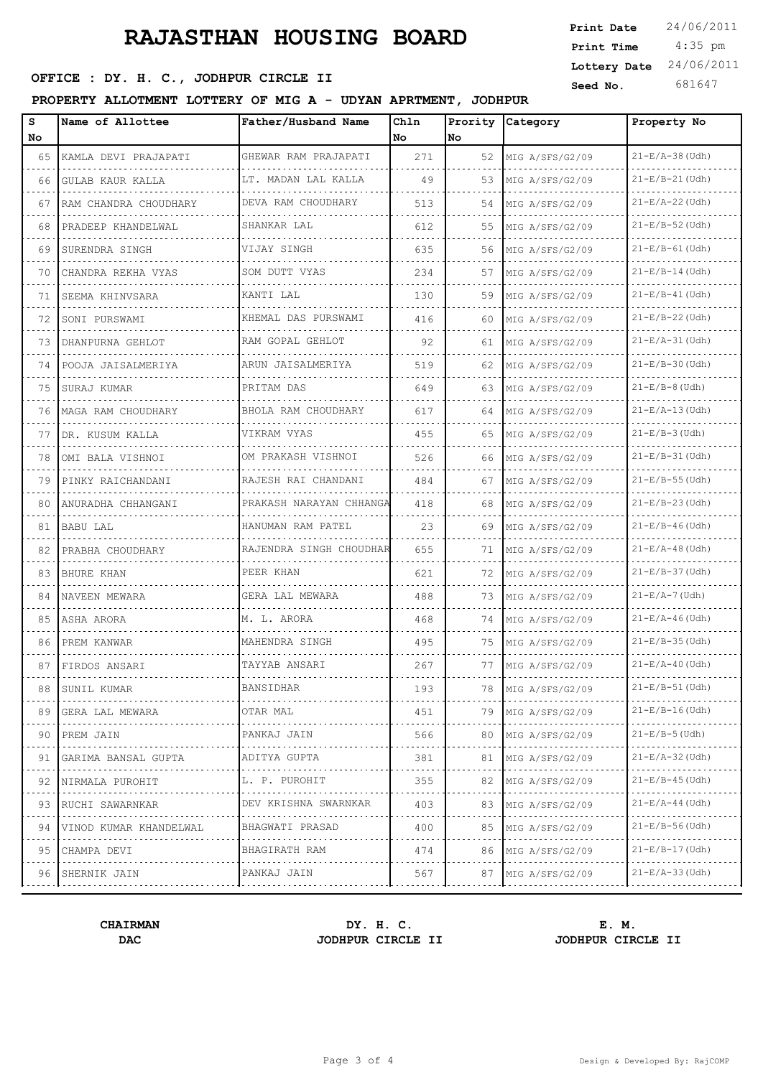# **RAJASTHAN HOUSING BOARD**

# **SEPTCE : DY. H. C., JODHPUR CIRCLE II** Seed No. 681

### **PROPERTY ALLOTMENT LOTTERY OF MIG A - UDYAN APRTMENT, JODHPUR**

| Print Date   | 24/06/2011 |
|--------------|------------|
| Print Time   | $4:35$ pm  |
| Lottery Date | 24/06/2011 |
| Seed No      | 681647     |

| s<br>No.                                                                                                                                   | Name of Allottee       | Father/Husband Name                                                                                                                | Chln<br>l No | No | Prority Category     | Property No                |
|--------------------------------------------------------------------------------------------------------------------------------------------|------------------------|------------------------------------------------------------------------------------------------------------------------------------|--------------|----|----------------------|----------------------------|
| 65                                                                                                                                         | KAMLA DEVI PRAJAPATI   | GHEWAR RAM PRAJAPATI                                                                                                               | 271          | 52 | MIG A/SFS/G2/09      | $21 - E/A - 38$ (Udh)      |
| 66                                                                                                                                         | GULAB KAUR KALLA       | LT. MADAN LAL KALLA                                                                                                                | 49           | 53 | MIG A/SFS/G2/09      | $21 - E/B - 21$ (Udh)      |
| 67                                                                                                                                         | RAM CHANDRA CHOUDHARY  | DEVA RAM CHOUDHARY                                                                                                                 | 513          | 54 | MIG A/SFS/G2/09      | $21-E/A-22$ (Udh)          |
| 68                                                                                                                                         | PRADEEP KHANDELWAL     | SHANKAR LAL                                                                                                                        | 612          | 55 | MIG A/SFS/G2/09      | $21 - E/B - 52$ (Udh)      |
| 69                                                                                                                                         | SURENDRA SINGH         | VIJAY SINGH                                                                                                                        | 635          | 56 | MIG A/SFS/G2/09      | $21-E/B-61$ (Udh)          |
| 70                                                                                                                                         | CHANDRA REKHA VYAS     | SOM DUTT VYAS                                                                                                                      | 234          | 57 | MIG A/SFS/G2/09      | $21 - E/B - 14$ (Udh)      |
| 71                                                                                                                                         | SEEMA KHINVSARA        | KANTI LAL                                                                                                                          | 130          | 59 | MIG A/SFS/G2/09      | $21 - E/B - 41$ (Udh)      |
| 72                                                                                                                                         | SONI PURSWAMI          | KHEMAL DAS PURSWAMI                                                                                                                | 416          | 60 | MIG A/SFS/G2/09      | $21 - E/B - 22$ (Udh)      |
| 73                                                                                                                                         | DHANPURNA GEHLOT       | RAM GOPAL GEHLOT                                                                                                                   | 92           | 61 | MIG A/SFS/G2/09      | $21 - E/A - 31$ (Udh)      |
| 74                                                                                                                                         | POOJA JAISALMERIYA     | ARUN JAISALMERIYA                                                                                                                  | 519          | 62 | MIG A/SFS/G2/09      | $21 - E/B - 30$ (Udh)      |
| 75                                                                                                                                         | SURAJ KUMAR            | PRITAM DAS                                                                                                                         | 649          | 63 | MIG A/SFS/G2/09      | $21-E/B-8$ (Udh)           |
| 76                                                                                                                                         | MAGA RAM CHOUDHARY     | BHOLA RAM CHOUDHARY                                                                                                                | 617          | 64 | MIG A/SFS/G2/09      | $21 - E/A - 13$ (Udh)      |
| 77                                                                                                                                         | DR. KUSUM KALLA        | VIKRAM VYAS                                                                                                                        | 455          | 65 | MIG A/SFS/G2/09      | $21 - E/B - 3$ (Udh)       |
| 78                                                                                                                                         | OMI BALA VISHNOI       | OM PRAKASH VISHNOI                                                                                                                 | 526          | 66 | MIG A/SFS/G2/09<br>. | $21 - E/B - 31$ (Udh)      |
| 79                                                                                                                                         | PINKY RAICHANDANI      | .<br>RAJESH RAI CHANDANI                                                                                                           | 484          | 67 | MIG A/SFS/G2/09      | $21 - E/B - 55$ (Udh)      |
| 80                                                                                                                                         | ANURADHA CHHANGANI     | PRAKASH NARAYAN CHHANGA<br>.                                                                                                       | 418          | 68 | MIG A/SFS/G2/09<br>. | $21 - E/B - 23$ (Udh)      |
| 81                                                                                                                                         | BABU LAL               | HANUMAN RAM PATEL                                                                                                                  | 23           | 69 | MIG A/SFS/G2/09      | .<br>$21-E/B-46$ (Udh)     |
| 82                                                                                                                                         | PRABHA CHOUDHARY       | RAJENDRA SINGH CHOUDHAR                                                                                                            | 655          | 71 | MIG A/SFS/G2/09<br>. | $21 - E/A - 48$ (Udh)      |
| 83                                                                                                                                         | BHURE KHAN             | PEER KHAN                                                                                                                          | 621          | 72 | MIG A/SFS/G2/09      | $21 - E/B - 37$ (Udh)      |
| 84                                                                                                                                         | NAVEEN MEWARA          | GERA LAL MEWARA                                                                                                                    | 488          | 73 | MIG A/SFS/G2/09      | $21 - E/A - 7$ (Udh)       |
| 85                                                                                                                                         | ASHA ARORA             | M. L. ARORA                                                                                                                        | 468          | 74 | MIG A/SFS/G2/09      | $21-E/A-46$ (Udh)          |
| 86                                                                                                                                         | PREM KANWAR            | MAHENDRA SINGH                                                                                                                     | 495          | 75 | MIG A/SFS/G2/09      | $21-E/B-35$ (Udh)          |
| 87                                                                                                                                         | FIRDOS ANSARI          | TAYYAB ANSARI                                                                                                                      | 267          | 77 | MIG A/SFS/G2/09      | $21-E/A-40$ (Udh)          |
| 88                                                                                                                                         | ISUNIL KUMAR           | BANSIDHAR                                                                                                                          | 193          | 78 | MIG A/SFS/G2/09      | $21 - E/B - 51$ (Udh)      |
| 89<br>$\sim$ 100 $\sim$ 100 $\sim$                                                                                                         | GERA LAL MEWARA        | OTAR MAL<br>$\mathcal{L}^{\mathcal{A}}(\mathcal{A})=\mathcal{L}^{\mathcal{A}}(\mathcal{A})=\mathcal{L}^{\mathcal{A}}(\mathcal{A})$ | 451          | 79 | MIG A/SFS/G2/09      | $21 - E/B - 16$ (Udh)      |
| 90                                                                                                                                         | PREM JAIN              | PANKAJ JAIN                                                                                                                        | 566          | 80 | MIG A/SFS/G2/09      | $21-E/B-5$ (Udh)           |
| 91                                                                                                                                         | GARIMA BANSAL GUPTA    | ADITYA GUPTA<br>.                                                                                                                  | 381          | 81 | MIG A/SFS/G2/09      | $21 - E/A - 32$ (Udh)<br>. |
| $\sim$ $\sim$ $\sim$ $\sim$<br>92                                                                                                          | NIRMALA PUROHIT        | L. P. PUROHIT                                                                                                                      | 355          | 82 | MIG A/SFS/G2/09      | $21 - E/B - 45$ (Udh)      |
| 93<br>$\mathcal{L}_{\mathcal{A}}\left( \mathcal{L}_{\mathcal{A}}\right) =\mathcal{L}_{\mathcal{A}}\left( \mathcal{L}_{\mathcal{A}}\right)$ | RUCHI SAWARNKAR<br>.   | DEV KRISHNA SWARNKAR<br>.                                                                                                          | 403          | 83 | MIG A/SFS/G2/09      | $21-E/A-44$ (Udh)<br>.     |
| 94                                                                                                                                         | VINOD KUMAR KHANDELWAL | BHAGWATI PRASAD                                                                                                                    | 400          | 85 | MIG A/SFS/G2/09      | $21 - E/B - 56$ (Udh)      |
| 95                                                                                                                                         | CHAMPA DEVI<br>.       | BHAGIRATH RAM<br>.                                                                                                                 | 474          | 86 | MIG A/SFS/G2/09<br>. | $21-E/B-17$ (Udh)<br>.     |
| 96                                                                                                                                         | SHERNIK JAIN           | PANKAJ JAIN                                                                                                                        | 567          | 87 | MIG A/SFS/G2/09      | $21 - E/A - 33$ (Udh)      |
|                                                                                                                                            |                        |                                                                                                                                    |              |    |                      |                            |